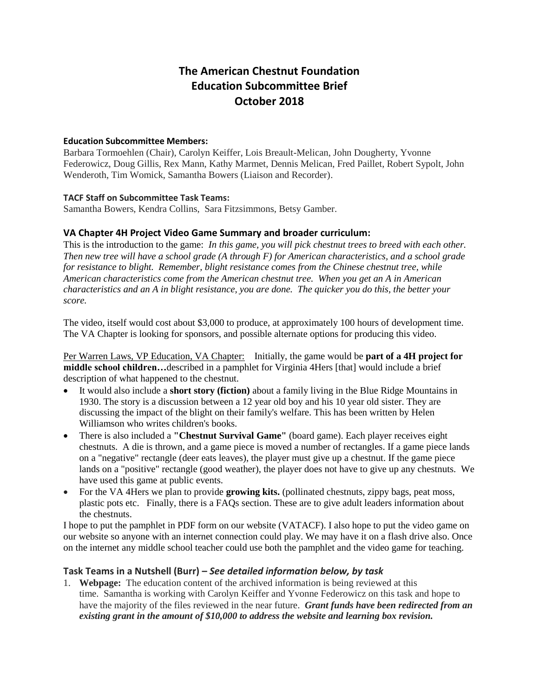# **The American Chestnut Foundation Education Subcommittee Brief October 2018**

### **Education Subcommittee Members:**

Barbara Tormoehlen (Chair), Carolyn Keiffer, Lois Breault-Melican, John Dougherty, Yvonne Federowicz, Doug Gillis, Rex Mann, Kathy Marmet, Dennis Melican, Fred Paillet, Robert Sypolt, John Wenderoth, Tim Womick, Samantha Bowers (Liaison and Recorder).

#### **TACF Staff on Subcommittee Task Teams:**

Samantha Bowers, Kendra Collins, Sara Fitzsimmons, Betsy Gamber.

### **VA Chapter 4H Project Video Game Summary and broader curriculum:**

This is the introduction to the game: *In this game, you will pick chestnut trees to breed with each other. Then new tree will have a school grade (A through F) for American characteristics, and a school grade for resistance to blight. Remember, blight resistance comes from the Chinese chestnut tree, while American characteristics come from the American chestnut tree. When you get an A in American characteristics and an A in blight resistance, you are done. The quicker you do this, the better your score.* 

The video, itself would cost about \$3,000 to produce, at approximately 100 hours of development time. The VA Chapter is looking for sponsors, and possible alternate options for producing this video.

Per Warren Laws, VP Education, VA Chapter:Initially, the game would be **part of a 4H project for middle school children…**described in a pamphlet for Virginia 4Hers [that] would include a brief description of what happened to the chestnut.

- It would also include a **short story (fiction)** about a family living in the Blue Ridge Mountains in 1930. The story is a discussion between a 12 year old boy and his 10 year old sister. They are discussing the impact of the blight on their family's welfare. This has been written by Helen Williamson who writes children's books.
- There is also included a **"Chestnut Survival Game"** (board game). Each player receives eight chestnuts. A die is thrown, and a game piece is moved a number of rectangles. If a game piece lands on a "negative" rectangle (deer eats leaves), the player must give up a chestnut. If the game piece lands on a "positive" rectangle (good weather), the player does not have to give up any chestnuts. We have used this game at public events.
- For the VA 4Hers we plan to provide **growing kits.** (pollinated chestnuts, zippy bags, peat moss, plastic pots etc. Finally, there is a FAQs section. These are to give adult leaders information about the chestnuts.

I hope to put the pamphlet in PDF form on our website (VATACF). I also hope to put the video game on our website so anyone with an internet connection could play. We may have it on a flash drive also. Once on the internet any middle school teacher could use both the pamphlet and the video game for teaching.

### **Task Teams in a Nutshell (Burr) –** *See detailed information below, by task*

1. **Webpage:** The education content of the archived information is being reviewed at this time. Samantha is working with Carolyn Keiffer and Yvonne Federowicz on this task and hope to have the majority of the files reviewed in the near future. *Grant funds have been redirected from an existing grant in the amount of \$10,000 to address the website and learning box revision.*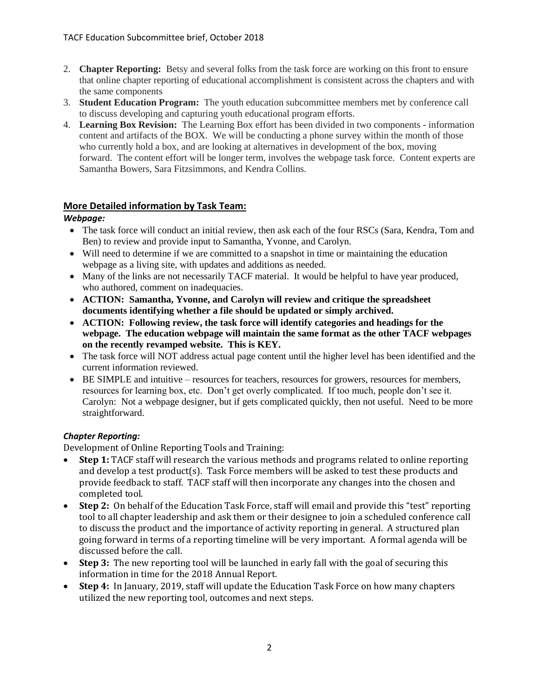- 2. **Chapter Reporting:** Betsy and several folks from the task force are working on this front to ensure that online chapter reporting of educational accomplishment is consistent across the chapters and with the same components
- 3. **Student Education Program:** The youth education subcommittee members met by conference call to discuss developing and capturing youth educational program efforts.
- 4. **Learning Box Revision:** The Learning Box effort has been divided in two components information content and artifacts of the BOX. We will be conducting a phone survey within the month of those who currently hold a box, and are looking at alternatives in development of the box, moving forward. The content effort will be longer term, involves the webpage task force. Content experts are Samantha Bowers, Sara Fitzsimmons, and Kendra Collins.

# **More Detailed information by Task Team:**

### *Webpage:*

- The task force will conduct an initial review, then ask each of the four RSCs (Sara, Kendra, Tom and Ben) to review and provide input to Samantha, Yvonne, and Carolyn.
- Will need to determine if we are committed to a snapshot in time or maintaining the education webpage as a living site, with updates and additions as needed.
- Many of the links are not necessarily TACF material. It would be helpful to have year produced, who authored, comment on inadequacies.
- **ACTION: Samantha, Yvonne, and Carolyn will review and critique the spreadsheet documents identifying whether a file should be updated or simply archived.**
- **ACTION: Following review, the task force will identify categories and headings for the webpage. The education webpage will maintain the same format as the other TACF webpages on the recently revamped website. This is KEY.**
- The task force will NOT address actual page content until the higher level has been identified and the current information reviewed.
- BE SIMPLE and intuitive resources for teachers, resources for growers, resources for members, resources for learning box, etc. Don't get overly complicated. If too much, people don't see it. Carolyn: Not a webpage designer, but if gets complicated quickly, then not useful. Need to be more straightforward.

## *Chapter Reporting:*

Development of Online Reporting Tools and Training:

- **Step 1:** TACF staff will research the various methods and programs related to online reporting and develop a test product(s). Task Force members will be asked to test these products and provide feedback to staff. TACF staff will then incorporate any changes into the chosen and completed tool.
- **Step 2:** On behalf of the Education Task Force, staff will email and provide this "test" reporting tool to all chapter leadership and ask them or their designee to join a scheduled conference call to discuss the product and the importance of activity reporting in general. A structured plan going forward in terms of a reporting timeline will be very important. A formal agenda will be discussed before the call.
- **Step 3:** The new reporting tool will be launched in early fall with the goal of securing this information in time for the 2018 Annual Report.
- **Step 4:** In January, 2019, staff will update the Education Task Force on how many chapters utilized the new reporting tool, outcomes and next steps.